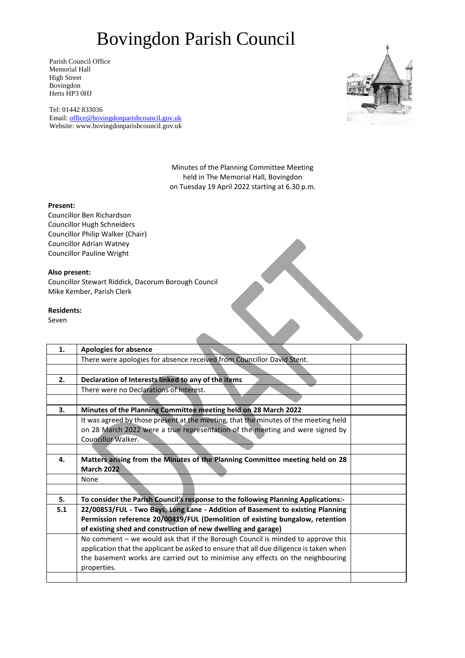Parish Council Office Memorial Hall High Street Bovingdon Herts HP3 0HJ

Tel: 01442 833036 Email: [office@bovingdonparishcouncil.gov.uk](mailto:office@bovingdonparishcouncil.gov.uk) Website: www.bovingdonparishcouncil.gov.uk



Minutes of the Planning Committee Meeting held in The Memorial Hall, Bovingdon on Tuesday 19 April 2022 starting at 6.30 p.m.

 $\overline{\phantom{a}}$ 

#### **Present:**

Councillor Ben Richardson Councillor Hugh Schneiders Councillor Philip Walker (Chair) Councillor Adrian Watney Councillor Pauline Wright

### **Also present:**

Councillor Stewart Riddick, Dacorum Borough Council Mike Kember, Parish Clerk

#### **Residents:**

Seven

| 1.  | <b>Apologies for absence</b>                                                           |  |
|-----|----------------------------------------------------------------------------------------|--|
|     | There were apologies for absence received from Councillor David Stent.                 |  |
|     |                                                                                        |  |
| 2.  | Declaration of Interests linked to any of the items                                    |  |
|     | There were no Declarations of Interest.                                                |  |
|     |                                                                                        |  |
| 3.  | Minutes of the Planning Committee meeting held on 28 March 2022                        |  |
|     | It was agreed by those present at the meeting, that the minutes of the meeting held    |  |
|     | on 28 March 2022 were a true representation of the meeting and were signed by          |  |
|     | Councillor Walker.                                                                     |  |
|     |                                                                                        |  |
| 4.  | Matters arising from the Minutes of the Planning Committee meeting held on 28          |  |
|     | <b>March 2022</b>                                                                      |  |
|     | None                                                                                   |  |
|     |                                                                                        |  |
| 5.  | To consider the Parish Council's response to the following Planning Applications:-     |  |
| 5.1 | 22/00853/FUL - Two Bays, Long Lane - Addition of Basement to existing Planning         |  |
|     | Permission reference 20/00419/FUL (Demolition of existing bungalow, retention          |  |
|     | of existing shed and construction of new dwelling and garage)                          |  |
|     | No comment – we would ask that if the Borough Council is minded to approve this        |  |
|     | application that the applicant be asked to ensure that all due diligence is taken when |  |
|     | the basement works are carried out to minimise any effects on the neighbouring         |  |
|     | properties.                                                                            |  |
|     |                                                                                        |  |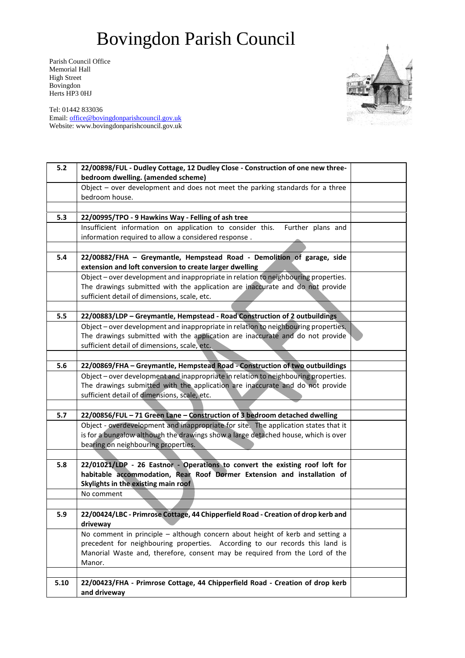Parish Council Office Memorial Hall High Street Bovingdon Herts HP3 0HJ

Tel: 01442 833036 Email: [office@bovingdonparishcouncil.gov.uk](mailto:office@bovingdonparishcouncil.gov.uk) Website: www.bovingdonparishcouncil.gov.uk



| $5.2$ | 22/00898/FUL - Dudley Cottage, 12 Dudley Close - Construction of one new three-                                                                         |  |
|-------|---------------------------------------------------------------------------------------------------------------------------------------------------------|--|
|       | bedroom dwelling. (amended scheme)                                                                                                                      |  |
|       | Object $-$ over development and does not meet the parking standards for a three                                                                         |  |
|       | bedroom house.                                                                                                                                          |  |
|       |                                                                                                                                                         |  |
| 5.3   | 22/00995/TPO - 9 Hawkins Way - Felling of ash tree                                                                                                      |  |
|       | Insufficient information on application to consider this.<br>Further plans and                                                                          |  |
|       | information required to allow a considered response.                                                                                                    |  |
|       |                                                                                                                                                         |  |
| 5.4   | 22/00882/FHA - Greymantle, Hempstead Road - Demolition of garage, side                                                                                  |  |
|       | extension and loft conversion to create larger dwelling<br>Object - over development and inappropriate in relation to neighbouring properties.          |  |
|       | The drawings submitted with the application are inaccurate and do not provide                                                                           |  |
|       | sufficient detail of dimensions, scale, etc.                                                                                                            |  |
|       |                                                                                                                                                         |  |
| 5.5   | 22/00883/LDP - Greymantle, Hempstead - Road Construction of 2 outbuildings                                                                              |  |
|       | Object - over development and inappropriate in relation to neighbouring properties.                                                                     |  |
|       | The drawings submitted with the application are inaccurate and do not provide                                                                           |  |
|       | sufficient detail of dimensions, scale, etc.                                                                                                            |  |
|       |                                                                                                                                                         |  |
| 5.6   | 22/00869/FHA - Greymantle, Hempstead Road - Construction of two outbuildings                                                                            |  |
|       | Object - over development and inappropriate in relation to neighbouring properties.                                                                     |  |
|       | The drawings submitted with the application are inaccurate and do not provide                                                                           |  |
|       | sufficient detail of dimensions, scale, etc.                                                                                                            |  |
|       |                                                                                                                                                         |  |
| 5.7   | 22/00856/FUL - 71 Green Lane - Construction of 3 bedroom detached dwelling                                                                              |  |
|       | Object - overdevelopment and inappropriate for site. The application states that it                                                                     |  |
|       | is for a bungalow although the drawings show a large detached house, which is over                                                                      |  |
|       | bearing on neighbouring properties.                                                                                                                     |  |
|       |                                                                                                                                                         |  |
| 5.8   | 22/01021/LDP - 26 Eastnor - Operations to convert the existing roof loft for<br>habitable accommodation, Rear Roof Dormer Extension and installation of |  |
|       | Skylights in the existing main roof                                                                                                                     |  |
|       | No comment                                                                                                                                              |  |
|       |                                                                                                                                                         |  |
| 5.9   | 22/00424/LBC - Primrose Cottage, 44 Chipperfield Road - Creation of drop kerb and                                                                       |  |
|       | driveway                                                                                                                                                |  |
|       | No comment in principle $-$ although concern about height of kerb and setting a                                                                         |  |
|       | precedent for neighbouring properties. According to our records this land is                                                                            |  |
|       | Manorial Waste and, therefore, consent may be required from the Lord of the                                                                             |  |
|       | Manor.                                                                                                                                                  |  |
|       |                                                                                                                                                         |  |
| 5.10  | 22/00423/FHA - Primrose Cottage, 44 Chipperfield Road - Creation of drop kerb                                                                           |  |
|       | and driveway                                                                                                                                            |  |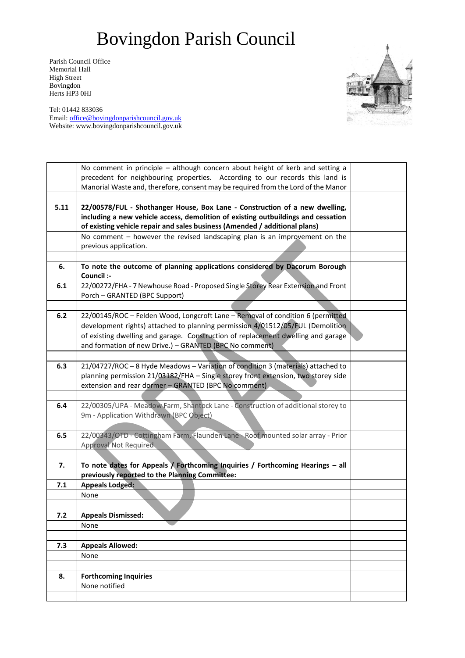Parish Council Office Memorial Hall High Street Bovingdon Herts HP3 0HJ



Tel: 01442 833036 Email: [office@bovingdonparishcouncil.gov.uk](mailto:office@bovingdonparishcouncil.gov.uk) Website: www.bovingdonparishcouncil.gov.uk

|       | No comment in principle - although concern about height of kerb and setting a            |  |
|-------|------------------------------------------------------------------------------------------|--|
|       | precedent for neighbouring properties. According to our records this land is             |  |
|       | Manorial Waste and, therefore, consent may be required from the Lord of the Manor        |  |
|       |                                                                                          |  |
| 5.11  | 22/00578/FUL - Shothanger House, Box Lane - Construction of a new dwelling,              |  |
|       | including a new vehicle access, demolition of existing outbuildings and cessation        |  |
|       | of existing vehicle repair and sales business (Amended / additional plans)               |  |
|       | No comment - however the revised landscaping plan is an improvement on the               |  |
|       | previous application.                                                                    |  |
|       |                                                                                          |  |
| 6.    | To note the outcome of planning applications considered by Dacorum Borough<br>Council :- |  |
| 6.1   | 22/00272/FHA - 7 Newhouse Road - Proposed Single Storey Rear Extension and Front         |  |
|       | Porch - GRANTED (BPC Support)                                                            |  |
|       |                                                                                          |  |
| $6.2$ | 22/00145/ROC - Felden Wood, Longcroft Lane - Removal of condition 6 (permitted           |  |
|       | development rights) attached to planning permission 4/01512/05/FUL (Demolition           |  |
|       | of existing dwelling and garage. Construction of replacement dwelling and garage         |  |
|       | and formation of new Drive.) - GRANTED (BPC No comment)                                  |  |
|       |                                                                                          |  |
| 6.3   | 21/04727/ROC - 8 Hyde Meadows - Variation of condition 3 (materials) attached to         |  |
|       | planning permission 21/03182/FHA - Single storey front extension, two storey side        |  |
|       | extension and rear dormer - GRANTED (BPC No comment)                                     |  |
|       |                                                                                          |  |
| 6.4   | 22/00305/UPA - Meadow Farm, Shantock Lane - Construction of additional storey to         |  |
|       | 9m - Application Withdrawn (BPC Object)                                                  |  |
|       |                                                                                          |  |
| 6.5   | 22/00343/OTD - Cottingham Farm, Flaunden Lane - Roof mounted solar array - Prior         |  |
|       | <b>Approval Not Required</b>                                                             |  |
|       |                                                                                          |  |
| 7.    | To note dates for Appeals $\lambda$ Forthcoming Inquiries / Forthcoming Hearings - all   |  |
|       | previously reported to the Planning Committee:                                           |  |
| 7.1   | <b>Appeals Lodged:</b>                                                                   |  |
|       | None                                                                                     |  |
|       |                                                                                          |  |
| 7.2   | <b>Appeals Dismissed:</b>                                                                |  |
|       | None                                                                                     |  |
|       |                                                                                          |  |
| 7.3   | <b>Appeals Allowed:</b>                                                                  |  |
|       | None                                                                                     |  |
|       |                                                                                          |  |
| 8.    | <b>Forthcoming Inquiries</b>                                                             |  |
|       | None notified                                                                            |  |
|       |                                                                                          |  |
|       |                                                                                          |  |